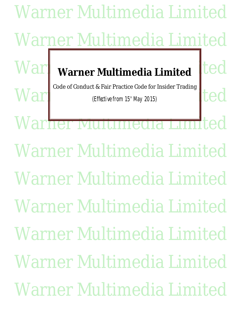Warner Multimedia Limited Warner Multimedia Limited **Ward** warner Multimedia Limited ted War (Effective from 15<sup>th</sup> May 2015) Warner Multimedia Limited Warner Multimedia Limited Warner Multimedia Limited Warner Multimedia Limited Warner Multimedia Limited Warner Multimedia Limited Warner Multimedia Limited Code of Conduct & Fair Practice Code for Insider Trading (Effective from  $15<sup>th</sup>$  May 2015)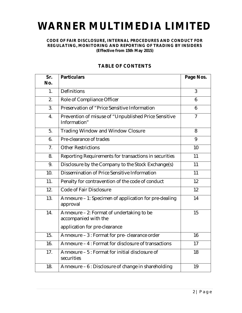# **WARNER MULTIMEDIA LIMITED**

## **CODE OF FAIR DISCLOSURE, INTERNAL PROCEDURES AND CONDUCT FOR REGULATING, MONITORING AND REPORTING OF TRADING BY INSIDERS (Effective from 15th May 2015)**

| Sr.              | <b>Particulars</b>                                                   | Page Nos.      |
|------------------|----------------------------------------------------------------------|----------------|
| No.              |                                                                      |                |
| 1 <sub>1</sub>   | <b>Definitions</b>                                                   | 3              |
| 2.               | Role of Compliance Officer                                           | 6              |
| 3.               | Preservation of "Price Sensitive Information                         | 6              |
| $\overline{4}$ . | Prevention of misuse of "Unpublished Price Sensitive<br>Information" | $\overline{7}$ |
| 5.               | <b>Trading Window and Window Closure</b>                             | 8              |
| 6.               | Pre-clearance of trades                                              | 9              |
| 7 <sub>1</sub>   | <b>Other Restrictions</b>                                            | 10             |
| 8.               | Reporting Requirements for transactions in securities                | 11             |
| 9.               | Disclosure by the Company to the Stock Exchange(s)                   | 11             |
| 10.              | Dissemination of Price Sensitive Information                         | 11             |
| 11.              | Penalty for contravention of the code of conduct                     | 12             |
| 12.              | <b>Code of Fair Disclosure</b>                                       | 12             |
| 13.              | Annexure - 1: Specimen of application for pre-dealing<br>approval    | 14             |
| 14.              | Annexure - 2: Format of undertaking to be<br>accompanied with the    | 15             |
|                  | application for pre-clearance                                        |                |
| 15.              | Annexure - 3 : Format for pre- clearance order                       | 16             |
| 16.              | Annexure - 4 : Format for disclosure of transactions                 | 17             |
| 17.              | Annexure - 5 : Format for initial disclosure of<br>securities        | 18             |
| 18.              | Annexure - 6 : Disclosure of change in shareholding                  | 19             |

# **TABLE OF CONTENTS**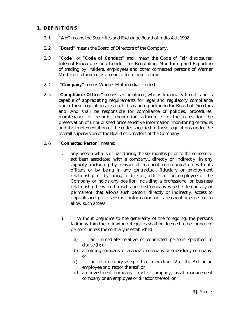# **1. DEFINITIONS**

- 2. 1 "**Act**" means the Securities and Exchange Board of India Act, 1992.
- 2. 2 "**Board**" means the Board of Directors of the Company.
- 2. 3 "**Code**" or "**Code of Conduct**" shall mean the Code of Fair disclosures, Internal Procedures and Conduct for Regulating, Monitoring and Reporting of trading by insiders, employees and other connected persons of Warner Multimedia Limited as amended from time to time.
- 2. 4 "**Company**" means Warner Multimedia Limited.
- 2. 5 "**Compliance Officer**" means senior officer, who is financially literate and is capable of appreciating requirements for legal and regulatory compliance under these regulations designated so and reporting to the Board of Directors and who shall be responsible for compliance of policies, procedures, maintenance of records, monitoring adherence to the rules for the preservation of unpublished price sensitive information, monitoring of trades and the implementation of the codes specified in these regulations under the overall supervision of the Board of Directors of the Company.

# 2. 6 "**Connected Person**" means:

- i. any person who is or has during the six months prior to the concerned act been associated with a company,, directly or indirectly, in any capacity including by reason of frequent communication with its officers or by being in any contractual, fiduciary or employment relationship or by being a director, officer or an employee of the Company or holds any position including a professional or business relationship between himself and the Company whether temporary or permanent, that allows such person, directly or indirectly, access to unpublished price sensitive information or is reasonably expected to allow such access.
- ii. Without prejudice to the generality of the foregoing, the persons falling within the following categories shall be deemed to be connected persons unless the contrary is established,
	- a) an immediate relative of connected persons specified in clause (i); or
	- b) a holding company or associate company or subsidiary company; or
	- c) an intermediary as specified in Section 12 of the Act or an employee or director thereof; or
	- d) an investment company, trustee company, asset management company or an employee or director thereof; or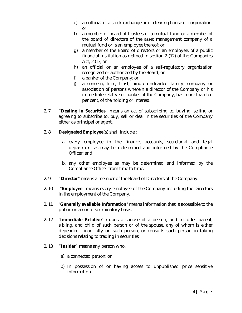- e) an official of a stock exchange or of clearing house or corporation; or
- f) a member of board of trustees of a mutual fund or a member of the board of directors of the asset management company of a mutual fund or is an employee thereof; or
- g) a member of the Board of directors or an employee, of a public financial institution as defined in section 2 (72) of the Companies Act, 2013; or
- h) an official or an employee of a self-regulatory organization recognized or authorized by the Board; or
- i) a banker of the Company; or
- j) a concern, firm, trust, hindu undivided family, company or association of persons wherein a director of the Company or his immediate relative or banker of the Company, has more than ten per cent, of the holding or interest.
- 2. 7 "**Dealing in Securities**" means an act of subscribing to, buying, selling or agreeing to subscribe to, buy, sell or deal in the securities of the Company either as principal or agent.
- 2. 8 **Designated Employee**(s) shall include :
	- a. every employee in the finance, accounts, secretarial and legal department as may be determined and informed by the Compliance Officer; and
	- b. any other employee as may be determined and informed by the Compliance Officer from time to time.
- 2. 9 "**Director**" means a member of the Board of Directors of the Company.
- 2. 10 "**Employee**" means every employee of the Company including the Directors in the employment of the Company.
- 2. 11 "**Generally available Information**" means information that is accessible to the public on a non-discriminatory basis.
- 2. 12 "**Immediate Relative**" means a spouse of a person, and includes parent, sibling, and child of such person or of the spouse, any of whom is either dependent financially on such person, or consults such person in taking decisions relating to trading in securities
- 2. 13 "**Insider**" means any person who,
	- a) a connected person; or
	- b) In possession of or having access to unpublished price sensitive information.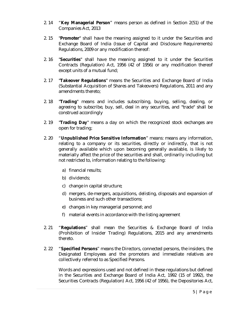- 2. 14 "**Key Managerial Person**" means person as defined in Section 2(51) of the Companies Act, 2013
- 2. 15 "**Promoter**" shall have the meaning assigned to it under the Securities and Exchange Board of India (Issue of Capital and Disclosure Requirements) Regulations, 2009 or any modification thereof:
- 2. 16 "**Securities**" shall have the meaning assigned to it under the Securities Contracts (Regulation) Act, 1956 (42 of 1956) or any modification thereof except units of a mutual fund;
- 2. 17 "**Takeover Regulations**" means the Securities and Exchange Board of India (Substantial Acquisition of Shares and Takeovers) Regulations, 2011 and any amendments thereto;
- 2. 18 "**Trading**" means and includes subscribing, buying, selling, dealing, or agreeing to subscribe, buy, sell, deal in any securities, and "trade" shall be construed accordingly
- 2. 19 "**Trading Day**" means a day on which the recognized stock exchanges are open for trading;
- 2. 20 "**Unpublished Price Sensitive Information**" means: means any information, relating to a company or its securities, directly or indirectly, that is not generally available which upon becoming generally available, is likely to materially affect the price of the securities and shall, ordinarily including but not restricted to, information relating to the following:
	- a) financial results;
	- b) dividends;
	- c) change in capital structure;
	- d) mergers, de-mergers, acquisitions, delisting, disposals and expansion of business and such other transactions;
	- e) changes in key managerial personnel; and
	- f) material events in accordance with the listing agreement
- 2. 21 "**Regulations**" shall mean the Securities & Exchange Board of India (Prohibition of Insider Trading) Regulations, 2015 and any amendments thereto.
- 2. 22 "**Specified Persons**" means the Directors, connected persons, the insiders, the Designated Employees and the promoters and immediate relatives are collectively referred to as Specified Persons.

Words and expressions used and not defined in these regulations but defined in the Securities and Exchange Board of India Act, 1992 (15 of 1992), the Securities Contracts (Regulation) Act, 1956 (42 of 1956), the Depositories Act,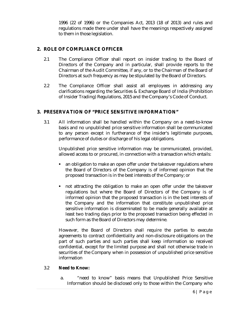1996 (22 of 1996) or the Companies Act, 2013 (18 of 2013) and rules and regulations made there under shall have the meanings respectively assigned to them in those legislation.

# **2. ROLE OF COMPLIANCE OFFICER**

- 2.1 The Compliance Officer shall report on insider trading to the Board of Directors of the Company and in particular, shall provide reports to the Chairman of the Audit Committee, if any, or to the Chairman of the Board of Directors at such frequency as may be stipulated by the Board of Directors.
- 2.2 The Compliance Officer shall assist all employees in addressing any clarifications regarding the Securities & Exchange Board of India (Prohibition of Insider Trading) Regulations, 2015 and the Company's Code of Conduct.

# **3. PRESERVATION OF "PRICE SENSITIVE INFORMATION"**

3.1 All information shall be handled within the Company on a need-to-know basis and no unpublished price sensitive information shall be communicated to any person except in furtherance of the insider's legitimate purposes, performance of duties or discharge of his legal obligations.

Unpublished price sensitive information may be communicated, provided, allowed access to or procured, in connection with a transaction which entails:

- an obligation to make an open offer under the takeover regulations where the Board of Directors of the Company is of informed opinion that the proposed transaction is in the best interests of the Company; or
- not attracting the obligation to make an open offer under the takeover regulations but where the Board of Directors of the Company is of informed opinion that the proposed transaction is in the best interests of the Company and the information that constitute unpublished price sensitive information is disseminated to be made generally available at least two trading days prior to the proposed transaction being effected in such form as the Board of Directors may determine.

However, the Board of Directors shall require the parties to execute agreements to contract confidentiality and non-disclosure obligations on the part of such parties and such parties shall keep information so received confidential, except for the limited purpose and shall not otherwise trade in securities of the Company when in possession of unpublished price sensitive information

# 3.2 **Need to Know:**

a. "need to know" basis means that Unpublished Price Sensitive Information should be disclosed only to those within the Company who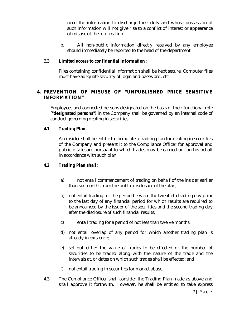need the information to discharge their duty and whose possession of such information will not give rise to a conflict of interest or appearance of misuse of the information.

b. All non-public information directly received by any employee should immediately be reported to the head of the department.

# 3.3 **Limited access to confidential information** :

Files containing confidential information shall be kept secure. Computer files must have adequate security of login and password, etc.

# **4. PREVENTION OF MISUSE OF "UNPUBLISHED PRICE SENSITIVE INFORMATION"**

Employees and connected persons designated on the basis of their functional role ("**designated persons**") in the Company shall be governed by an internal code of conduct governing dealing in securities.

# **4.1 Trading Plan**

An insider shall be entitle to formulate a trading plan for dealing in securities of the Company and present it to the Compliance Officer for approval and public disclosure pursuant to which trades may be carried out on his behalf in accordance with such plan.

# **4.2 Trading Plan shall:**

- a) not entail commencement of trading on behalf of the insider earlier than six months from the public disclosure of the plan;
- b) not entail trading for the period between the twentieth trading day prior to the last day of any financial period for which results are required to be announced by the issuer of the securities and the second trading day after the disclosure of such financial results;
- c) entail trading for a period of not less than twelve months;
- d) not entail overlap of any period for which another trading plan is already in existence;
- e) set out either the value of trades to be effected or the number of securities to be traded along with the nature of the trade and the intervals at, or dates on which such trades shall be effected; and
- f) not entail trading in securities for market abuse.
- 4.3 The Compliance Officer shall consider the Trading Plan made as above and shall approve it forthwith. However, he shall be entitled to take express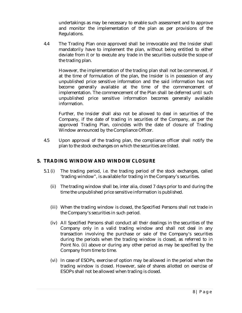undertakings as may be necessary to enable such assessment and to approve and monitor the implementation of the plan as per provisions of the Regulations.

4.4 The Trading Plan once approved shall be irrevocable and the Insider shall mandatorily have to implement the plan, without being entitled to either deviate from it or to execute any trade in the securities outside the scope of the trading plan.

However, the implementation of the trading plan shall not be commenced, if at the time of formulation of the plan, the Insider is in possession of any unpublished price sensitive information and the said information has not become generally available at the time of the commencement of implementation. The commencement of the Plan shall be deferred until such unpublished price sensitive information becomes generally available information.

Further, the Insider shall also not be allowed to deal in securities of the Company, if the date of trading in securities of the Company, as per the approved Trading Plan, coincides with the date of closure of Trading Window announced by the Compliance Officer.

4.5 Upon approval of the trading plan, the compliance officer shall notify the plan to the stock exchanges on which the securities are listed.

# **5. TRADING WINDOW AND WINDOW CLOSURE**

- 5.1 (i) The trading period, i.e. the trading period of the stock exchanges, called 'trading window", is available for trading in the Company's securities.
	- (ii) The trading window shall be, inter alia, closed 7 days prior to and during the time the unpublished price sensitive information is published.
	- (iii) When the trading window is closed, the Specified Persons shall not trade in the Company's securities in such period.
	- (iv) All Specified Persons shall conduct all their dealings in the securities of the Company only in a valid trading window and shall not deal in any transaction involving the purchase or sale of the Company's securities during the periods when the trading window is closed, as referred to in Point No. (ii) above or during any other period as may be specified by the Company from time to time.
	- (vi) In case of ESOPs, exercise of option may be allowed in the period when the trading window is closed. However, sale of shares allotted on exercise of ESOPs shall not be allowed when trading is closed.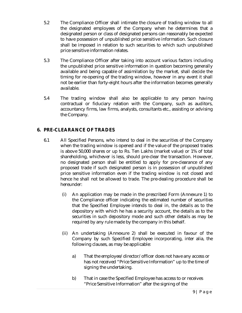- 5.2 The Compliance Officer shall intimate the closure of trading window to all the designated employees of the Company when he determines that a designated person or class of designated persons can reasonably be expected to have possession of unpublished price sensitive information. Such closure shall be imposed in relation to such securities to which such unpublished price sensitive information relates.
- 5.3 The Compliance Officer after taking into account various factors including the unpublished price sensitive information in question becoming generally available and being capable of assimilation by the market, shall decide the timing for re-opening of the trading window, however in any event it shall not be earlier than forty-eight hours after the information becomes generally available.
- 5.4 The trading window shall also be applicable to any person having contractual or fiduciary relation with the Company, such as auditors, accountancy firms, law firms, analysts, consultants etc., assisting or advising the Company.

# **6. PRE-CLEARANCE OF TRADES**

- 6.1 All Specified Persons, who intend to deal in the securities of the Company when the trading window is opened and if the value of the proposed trades is above 50,000 shares or up to Rs. Ten Lakhs (market value) or 1% of total shareholding, whichever is less, should pre-clear the transaction. However, no designated person shall be entitled to apply for pre-clearance of any proposed trade if such designated person is in possession of unpublished price sensitive information even if the trading window is not closed and hence he shall not be allowed to trade. The pre-dealing procedure shall be hereunder:
	- (i) An application may be made in the prescribed Form (Annexure 1) to the Compliance officer indicating the estimated number of securities that the Specified Employee intends to deal in, the details as to the depository with which he has a security account, the details as to the securities in such depository mode and such other details as may be required by any rule made by the company in this behalf.
	- (ii) An undertaking (Annexure 2) shall be executed in favour of the Company by such Specified Employee incorporating, inter alia, the following clauses, as may be applicable:
		- a) That the employee/director/officer does not have any access or has not received "Price Sensitive Information" up to the time of signing the undertaking.
		- b) That in case the Specified Employee has access to or receives "Price Sensitive Information" after the signing of the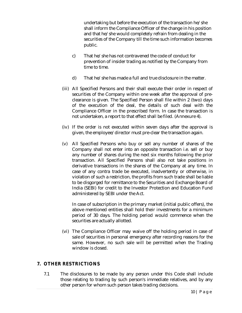undertaking but before the execution of the transaction he/she shall inform the Compliance Officer of the change in his position and that he/she would completely refrain from dealing in the securities of the Company till the time such information becomes public.

- c) That he/she has not contravened the code of conduct for prevention of insider trading as notified by the Company from time to time.
- d) That he/she has made a full and true disclosure in the matter.
- (iii) All Specified Persons and their shall execute their order in respect of securities of the Company within one week after the approval of preclearance is given. The Specified Person shall file within 2 (two) days of the execution of the deal, the details of such deal with the Compliance Officer in the prescribed form. In case the transaction is not undertaken, a report to that effect shall be filed. (Annexure 4).
- (iv) If the order is not executed within seven days after the approval is given, the employee/director must pre-clear the transaction again.
- (v) All Specified Persons who buy or sell any number of shares of the Company shall not enter into an opposite transaction i.e. sell or buy any number of shares during the next six months following the prior transaction. All Specified Persons shall also not take positions in derivative transactions in the shares of the Company at any time. In case of any contra trade be executed, inadvertently or otherwise, in violation of such a restriction, the profits from such trade shall be liable to be disgorged for remittance to the Securities and Exchange Board of India (SEBI) for credit to the Investor Protection and Education Fund administered by SEBI under the Act.

In case of subscription in the primary market (initial public offers), the above mentioned entities shall hold their investments for a minimum period of 30 days. The holding period would commence when the securities are actually allotted.

(vi) The Compliance Officer may waive off the holding period in case of sale of securities in personal emergency after recording reasons for the same. However, no such sale will be permitted when the Trading window is closed.

# **7. OTHER RESTRICTIONS**

7.1 The disclosures to be made by any person under this Code shall include those relating to trading by such person's immediate relatives, and by any other person for whom such person takes trading decisions.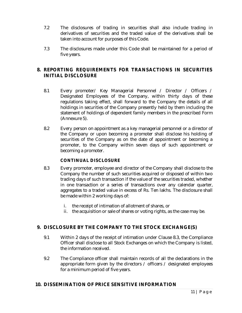- 7.2 The disclosures of trading in securities shall also include trading in derivatives of securities and the traded value of the derivatives shall be taken into account for purposes of this Code.
- 7.3 The disclosures made under this Code shall be maintained for a period of five years.

# **8. REPORTING REQUIREMENTS FOR TRANSACTIONS IN SECURITIES INITIAL DISCLOSURE**

- 8.1 Every promoter/ Key Managerial Personnel / Director / Officers / Designated Employees of the Company, within thirty days of these regulations taking effect, shall forward to the Company the details of all holdings in securities of the Company presently held by them including the statement of holdings of dependent family members in the prescribed Form (Annexure 5).
- 8.2 Every person on appointment as a key managerial personnel or a director of the Company or upon becoming a promoter shall disclose his holding of securities of the Company as on the date of appointment or becoming a promoter, to the Company within seven days of such appointment or becoming a promoter.

# **CONTINUAL DISCLOSURE**

- 8.3 Every promoter, employee and director of the Company shall disclose to the Company the number of such securities acquired or disposed of within two trading days of such transaction if the value of the securities traded, whether in one transaction or a series of transactions over any calendar quarter, aggregates to a traded value in excess of Rs. Ten lakhs. The disclosure shall be made within 2 working days of:
	- i. the receipt of intimation of allotment of shares, or
	- ii. the acquisition or sale of shares or voting rights, as the case may be.

# **9. DISCLOSURE BY THE COMPANY TO THE STOCK EXCHANGE(S)**

- 9.1 Within 2 days of the receipt of intimation under Clause 8.3, the Compliance Officer shall disclose to all Stock Exchanges on which the Company is listed, the information received.
- 9.2 The Compliance officer shall maintain records of all the declarations in the appropriate form given by the directors / officers / designated employees for a minimum period of five years.

# **10. DISSEMINATION OF PRICE SENSITIVE INFORMATION**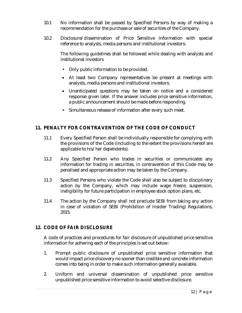- 10.1 No information shall be passed by Specified Persons by way of making a recommendation for the purchase or sale of securities of the Company.
- 10.2 Disclosure/dissemination of Price Sensitive Information with special reference to analysts, media persons and institutional investors:

The following guidelines shall be followed while dealing with analysts and institutional investors

- Only public information to be provided.
- At least two Company representatives be present at meetings with analysts, media persons and institutional investors.
- Unanticipated questions may be taken on notice and a considered response given later. If the answer includes price sensitive information, a public announcement should be made before responding.
- Simultaneous release of information after every such meet.

# **11. PENALTY FOR CONTRAVENTION OF THE CODE OF CONDUCT**

- 11.1 Every Specified Person shall be individually responsible for complying with the provisions of the Code (including to the extent the provisions hereof are applicable to his/her dependents).
- 11.2 Any Specified Person who trades in securities or communicates any information for trading in securities, in contravention of this Code may be penalised and appropriate action may be taken by the Company.
- 11.3 Specified Persons who violate the Code shall also be subject to disciplinary action by the Company, which may include wage freeze, suspension, ineligibility for future participation in employee stock option plans, etc.
- 11.4 The action by the Company shall not preclude SEBI from taking any action in case of violation of SEBI (Prohibition of Insider Trading) Regulations, 2015.

# **12. CODE OF FAIR DISCLOSURE**

A code of practices and procedures for fair disclosure of unpublished price sensitive information for adhering each of the principles is set out below:

- 1. Prompt public disclosure of unpublished price sensitive information that would impact price discovery no sooner than credible and concrete information comes into being in order to make such information generally available.
- 2. Uniform and universal dissemination of unpublished price sensitive unpublished price sensitive information to avoid selective disclosure.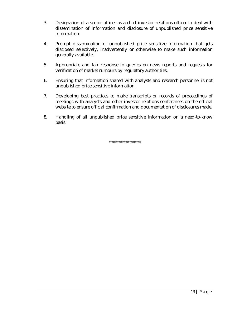- 3. Designation of a senior officer as a chief investor relations officer to deal with dissemination of information and disclosure of unpublished price sensitive information.
- 4. Prompt dissemination of unpublished price sensitive information that gets disclosed selectively, inadvertently or otherwise to make such information generally available.
- 5. Appropriate and fair response to queries on news reports and requests for verification of market rumours by regulatory authorities.
- 6. Ensuring that information shared with analysts and research personnel is not unpublished price sensitive information.
- 7. Developing best practices to make transcripts or records of proceedings of meetings with analysts and other investor relations conferences on the official website to ensure official confirmation and documentation of disclosures made.
- 8. Handling of all unpublished price sensitive information on a need-to-know basis.

\*\*\*\*\*\*\*\*\*\*\*\*\*\*\*\*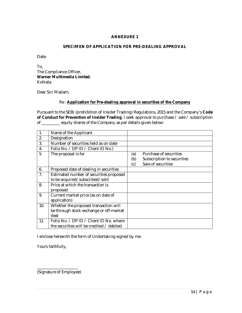## **SPECIMEN OF APPLICATION FOR PRE-DEALING APPROVAL**

Date:

To, The Compliance Officer, **Warner Multimedia Limited**, Kolkata

Dear Sir/Madam,

#### Re : **Application for Pre-dealing approval in securities of the Company**

Pursuant to the SEBI (prohibition of Insider Trading) Regulations, 2015 and the Company's **Code of Conduct for Prevention of Insider Trading**, I seek approval to purchase / sale / subscription of \_\_\_\_\_\_\_\_\_ equity shares of the Company as per details given below:

| $\mathbf{1}$ . | Name of the Applicant                     |     |                            |
|----------------|-------------------------------------------|-----|----------------------------|
| 2.             | Designation                               |     |                            |
| 3.             | Number of securities held as on date      |     |                            |
| 4.             | Folio No. / DP ID / Client ID No.)        |     |                            |
| 5.             | The proposal is for                       | (a) | Purchase of securities     |
|                |                                           | (b) | Subscription to securities |
|                |                                           | (c) | Sale of securities         |
| 6.             | Proposed date of dealing in securities    |     |                            |
| 7.             | Estimated number of securities proposed   |     |                            |
|                | to be acquired/subscribed/sold            |     |                            |
| 8.             | Price at which the transaction is         |     |                            |
|                | proposed                                  |     |                            |
| 9.             | Current market price (as on date of       |     |                            |
|                | application)                              |     |                            |
| 10.            | Whether the proposed transaction will     |     |                            |
|                | be through stock exchange or off-market   |     |                            |
|                | deal                                      |     |                            |
| 11.            | Folio No. / DP ID / Client ID No. where   |     |                            |
|                | the securities will be credited / debited |     |                            |

I enclose herewith the form of Undertaking signed by me.

Yours faithfully,

\_\_\_\_\_\_\_\_\_\_\_\_\_\_\_\_\_\_\_\_ (Signature of Employee)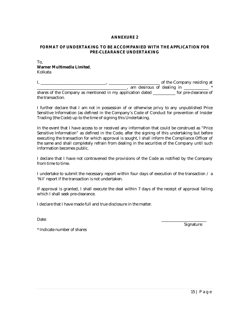## **FORMAT OF UNDERTAKING TO BE ACCOMPANIED WITH THE APPLICATION FOR PRE-CLEARANCE UNDERTAKING**

#### To, **Warner Multimedia Limited**, Kolkata

I, \_\_\_\_\_\_\_\_\_\_\_\_\_\_\_\_\_\_\_\_\_\_\_\_\_\_\_\_\_\_\_\_, \_\_\_\_\_\_\_\_\_\_\_\_\_\_\_\_\_\_\_\_\_\_\_\_\_ of the Company residing at  $\blacksquare$  am desirous of dealing in  $\blacksquare$  \* shares of the Company as mentioned in my application dated **the contract of the Company** as mentioned in my application dated the transaction.

I further declare that I am not in possession of or otherwise privy to any unpublished Price Sensitive Information (as defined in the Company's Code of Conduct for prevention of Insider Trading (the Code) up to the time of signing this Undertaking.

In the event that I have access to or received any information that could be construed as "Price Sensitive Information" as defined in the Code, after the signing of this undertaking but before executing the transaction for which approval is sought, I shall inform the Compliance Officer of the same and shall completely refrain from dealing in the securities of the Company until such information becomes public.

I declare that I have not contravened the provisions of the Code as notified by the Company from time to time.

I undertake to submit the necessary report within four days of execution of the transaction / a 'Nil' report if the transaction is not undertaken.

If approval is granted, I shall execute the deal within 7 days of the receipt of approval failing which I shall seek pre-clearance.

I declare that I have made full and true disclosure in the matter.

Date: \_\_\_\_\_\_\_\_\_\_\_\_\_\_\_\_\_\_\_\_\_\_

Signature:

\* Indicate number of shares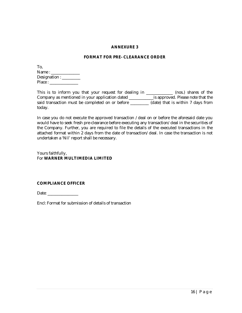#### **FORMAT FOR PRE- CLEARANCE ORDER**

| To.                     |
|-------------------------|
| Name : $\frac{ }{ }$    |
| Designation : _________ |
| Place:                  |

This is to inform you that your request for dealing in \_\_\_\_\_\_\_\_\_\_\_\_\_ (nos.) shares of the Company as mentioned in your application dated \_\_\_\_\_\_\_\_\_\_\_\_is approved. Please note that the said transaction must be completed on or before \_\_\_\_\_\_\_\_\_(date) that is within 7 days from today.

In case you do not execute the approved transaction /deal on or before the aforesaid date you would have to seek fresh pre-clearance before executing any transaction/deal in the securities of the Company. Further, you are required to file the details of the executed transactions in the attached format within 2 days from the date of transaction/deal. In case the transaction is not undertaken a 'Nil' report shall be necessary.

Yours faithfully, For **WARNER MULTIMEDIA LIMITED**

## **COMPLIANCE OFFICER**

Date: \_\_\_\_\_\_\_\_\_\_\_\_\_\_\_

Encl: Format for submission of details of transaction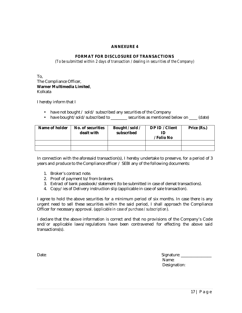## **FORMAT FOR DISCLOSURE OF TRANSACTIONS**

*(To be submitted within 2 days of transaction / dealing in securities of the Company)*

To, The Compliance Officer, **Warner Multimedia Limited**, Kolkata

I hereby inform that I

- have not bought / sold/ subscribed any securities of the Company
- have bought/sold/subscribed to \_\_\_\_\_\_\_ securities as mentioned below on \_\_\_ (date)

| Name of holder | No. of securities<br>dealt with | Bought / sold /<br>subscribed |  | Price (Rs.) |
|----------------|---------------------------------|-------------------------------|--|-------------|
|                |                                 |                               |  |             |
|                |                                 |                               |  |             |

In connection with the aforesaid transaction(s), I hereby undertake to preserve, for a period of 3 years and produce to the Compliance officer / SEBI any of the following documents:

- 1. Broker's contract note.
- 2. Proof of payment to/from brokers.
- 3. Extract of bank passbook/statement (to be submitted in case of demat transactions).
- 4. Copy/ies of Delivery instruction slip (applicable in case of sale transaction).

I agree to hold the above securities for a minimum period of six months. In case there is any urgent need to sell these securities within the said period, I shall approach the Compliance Officer for necessary approval. (*applicable in case of purchase / subscription*).

I declare that the above information is correct and that no provisions of the Company's Code and/or applicable laws/regulations have been contravened for effecting the above said transactions(s).

Date: Signature: \_\_\_\_\_\_\_\_\_\_\_\_\_\_\_ Name: Designation: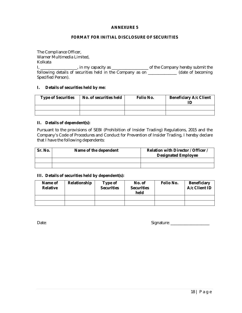## **FORMAT FOR INITIAL DISCLOSURE OF SECURITIES**

The Compliance Officer, Warner Multimedia Limited, Kolkata I, \_\_\_\_\_\_\_\_\_\_\_\_\_\_\_\_\_\_, in my capacity as \_\_\_\_\_\_\_\_\_\_\_\_\_\_\_\_\_\_ of the Company hereby submit the following details of securities held in the Company as on \_\_\_\_\_\_\_\_\_\_\_\_\_\_ (date of becoming Specified Person).

## **I. Details of securities held by me:**

| <b>Type of Securities</b> | No. of securities held | Folio No. | <b>Beneficiary A/c Client</b> |
|---------------------------|------------------------|-----------|-------------------------------|
|                           |                        |           |                               |
|                           |                        |           |                               |

#### **II. Details of dependent(s):**

Pursuant to the provisions of SEBI (Prohibition of Insider Trading) Regulations, 2015 and the Company's Code of Procedures and Conduct for Prevention of Insider Trading, I hereby declare that I have the following dependents:

| Sr. No. | Name of the dependent | Relation with Director / Officer /<br><b>Designated Employee</b> |
|---------|-----------------------|------------------------------------------------------------------|
|         |                       |                                                                  |
|         |                       |                                                                  |

#### **III. Details of securities held by dependent(s):**

| Name of<br><b>Relative</b> | Relationship | Type of<br><b>Securities</b> | No. of<br><b>Securities</b><br>held | Folio No. | <b>Beneficiary</b><br>A/c Client ID |
|----------------------------|--------------|------------------------------|-------------------------------------|-----------|-------------------------------------|
|                            |              |                              |                                     |           |                                     |
|                            |              |                              |                                     |           |                                     |

Date: 2008. The state of the state of the state of the Signature: 2008. Signature: 2008. The state of the Signature: 2008. Signature: 2008. The state of the Signature: 2008. Signature: 2008. The state of the Signature: 200